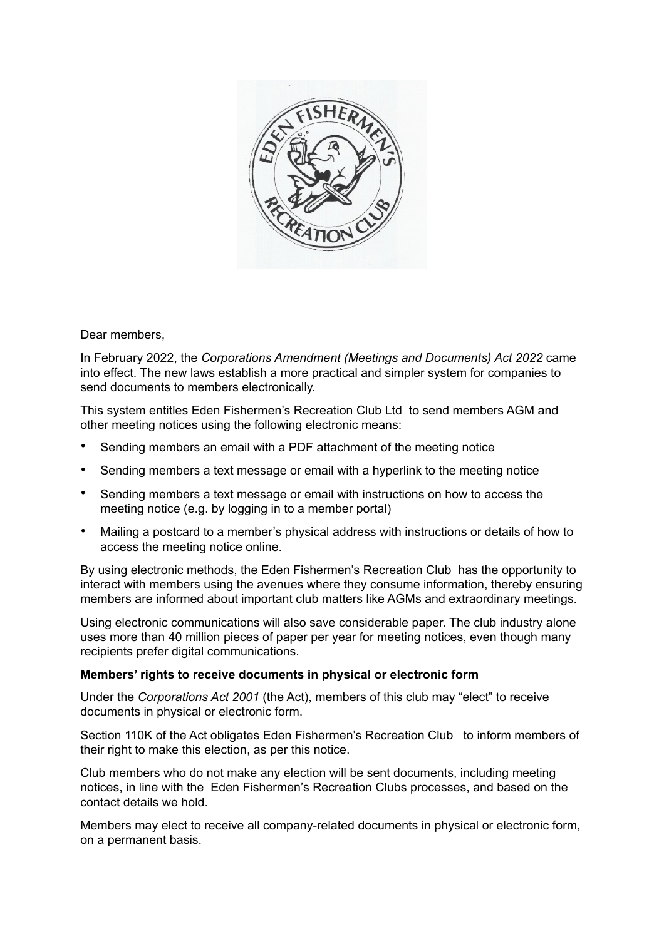

Dear members,

In February 2022, the *Corporations Amendment (Meetings and Documents) Act 2022* came into effect. The new laws establish a more practical and simpler system for companies to send documents to members electronically.

This system entitles Eden Fishermen's Recreation Club Ltd to send members AGM and other meeting notices using the following electronic means:

- Sending members an email with a PDF attachment of the meeting notice
- Sending members a text message or email with a hyperlink to the meeting notice
- Sending members a text message or email with instructions on how to access the meeting notice (e.g. by logging in to a member portal)
- Mailing a postcard to a member's physical address with instructions or details of how to access the meeting notice online.

By using electronic methods, the Eden Fishermen's Recreation Club has the opportunity to interact with members using the avenues where they consume information, thereby ensuring members are informed about important club matters like AGMs and extraordinary meetings.

Using electronic communications will also save considerable paper. The club industry alone uses more than 40 million pieces of paper per year for meeting notices, even though many recipients prefer digital communications.

## **Members' rights to receive documents in physical or electronic form**

Under the *Corporations Act 2001* (the Act), members of this club may "elect" to receive documents in physical or electronic form.

Section 110K of the Act obligates Eden Fishermen's Recreation Club to inform members of their right to make this election, as per this notice.

Club members who do not make any election will be sent documents, including meeting notices, in line with the Eden Fishermen's Recreation Clubs processes, and based on the contact details we hold.

Members may elect to receive all company-related documents in physical or electronic form, on a permanent basis.